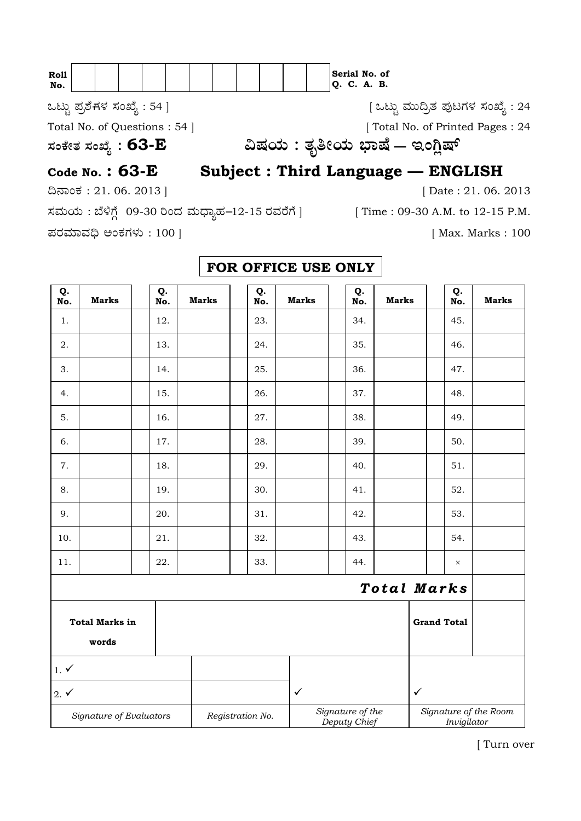

ಸಮಯ : ಬೆಳಿಗ್ಗೆ 09-30 ರಿಂದ ಮಧ್ಯಾಹ−12-15 ರವರೆಗೆ ] [Time : 09-30 A.M. to 12-15 P.M. ಪರಮಾವಧಿ ಅಂಕಗಳು : 100 ]

## **Q. No. Marks Q. No. Marks Q. No. Marks Q. No. Marks Q. No. Marks** 1.  $\begin{vmatrix} 1 & 12. \end{vmatrix}$  12.  $\begin{vmatrix} 23. \end{vmatrix}$  134.  $\begin{vmatrix} 34. \end{vmatrix}$  145. 2.  $\begin{vmatrix} 13. \end{vmatrix}$  13.  $\begin{vmatrix} 24. \end{vmatrix}$  135.  $\begin{vmatrix} 35. \end{vmatrix}$  146. 3. 14. 25. 36. 47. 4. 15. 26. 37. 48. 5. 16. 27. 38. 49. 6. 17. 28. 39. 50. 7. 18. 29. 40. 51. 8. | | | | 19. | | | | | | | 30. | | | | | | | | | | | | | | | | | | 52. 9.  $\begin{vmatrix} 20. \end{vmatrix}$   $\begin{vmatrix} 31. \end{vmatrix}$   $\begin{vmatrix} 42. \end{vmatrix}$   $\begin{vmatrix} 53. \end{vmatrix}$ 10.  $\vert$   $\vert$  21.  $\vert$   $\vert$  32.  $\vert$   $\vert$  43.  $\vert$  54. 11.  $\begin{vmatrix} 22. \end{vmatrix}$   $\begin{vmatrix} 33. \end{vmatrix}$   $\begin{vmatrix} 44. \end{vmatrix}$   $\begin{vmatrix} 44. \end{vmatrix}$   $\begin{vmatrix} x \end{vmatrix}$ *Total Marks* **Total Marks in words Grand Total**  $1. \checkmark$ 2. 9 9 9 *Signature of Evaluators Registration No. Signature of the Deputy Chief Signature of the Room Invigilator*

# **FOR OFFICE USE ONLY**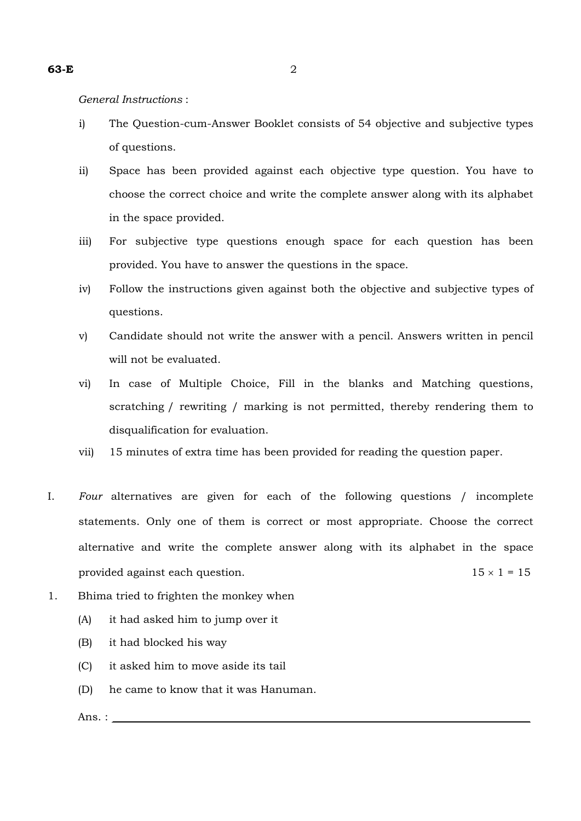*General Instructions* :

- i) The Question-cum-Answer Booklet consists of 54 objective and subjective types of questions.
- ii) Space has been provided against each objective type question. You have to choose the correct choice and write the complete answer along with its alphabet in the space provided.
- iii) For subjective type questions enough space for each question has been provided. You have to answer the questions in the space.
- iv) Follow the instructions given against both the objective and subjective types of questions.
- v) Candidate should not write the answer with a pencil. Answers written in pencil will not be evaluated.
- vi) In case of Multiple Choice, Fill in the blanks and Matching questions, scratching / rewriting / marking is not permitted, thereby rendering them to disqualification for evaluation.
- vii) 15 minutes of extra time has been provided for reading the question paper.
- I. *Four* alternatives are given for each of the following questions / incomplete statements. Only one of them is correct or most appropriate. Choose the correct alternative and write the complete answer along with its alphabet in the space provided against each question.  $15 \times 1 = 15$
- 1. Bhima tried to frighten the monkey when
	- (A) it had asked him to jump over it
	- (B) it had blocked his way
	- (C) it asked him to move aside its tail
	- (D) he came to know that it was Hanuman.

Ans. :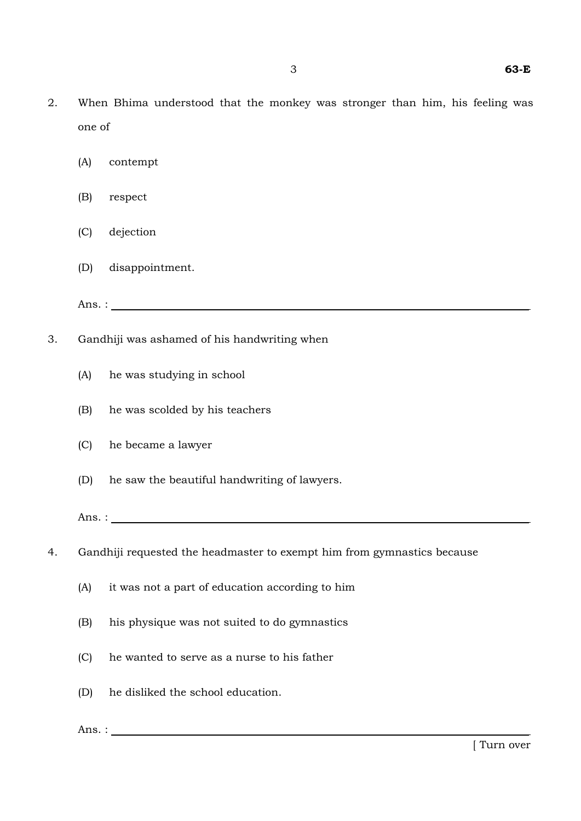- 2. When Bhima understood that the monkey was stronger than him, his feeling was one of
	- (A) contempt
	- (B) respect
	- (C) dejection
	- (D) disappointment.

Ans. :

- 3. Gandhiji was ashamed of his handwriting when
	- (A) he was studying in school
	- (B) he was scolded by his teachers
	- (C) he became a lawyer
	- (D) he saw the beautiful handwriting of lawyers.

Ans. :

4. Gandhiji requested the headmaster to exempt him from gymnastics because

- (A) it was not a part of education according to him
- (B) his physique was not suited to do gymnastics
- (C) he wanted to serve as a nurse to his father
- (D) he disliked the school education.

### Ans. :  $\overline{\phantom{a}}$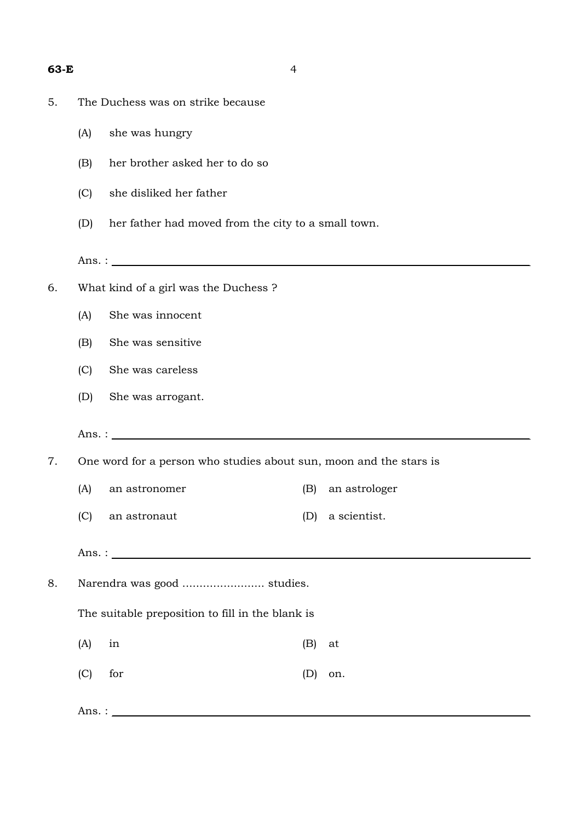- 5. The Duchess was on strike because
	- (A) she was hungry
	- (B) her brother asked her to do so
	- (C) she disliked her father
	- (D) her father had moved from the city to a small town.

Ans. :

- 6. What kind of a girl was the Duchess ?
	- (A) She was innocent
	- (B) She was sensitive
	- (C) She was careless
	- (D) She was arrogant.
	- Ans. :

7. One word for a person who studies about sun, moon and the stars is

- (A) an astronomer (B) an astrologer
- (C) an astronaut (D) a scientist.

| $ -$ |  |  |  |
|------|--|--|--|
|      |  |  |  |

8. Narendra was good ........................ studies.

The suitable preposition to fill in the blank is

- $(A)$  in  $(B)$  at
	- (C) for (D) on.
	- Ans. :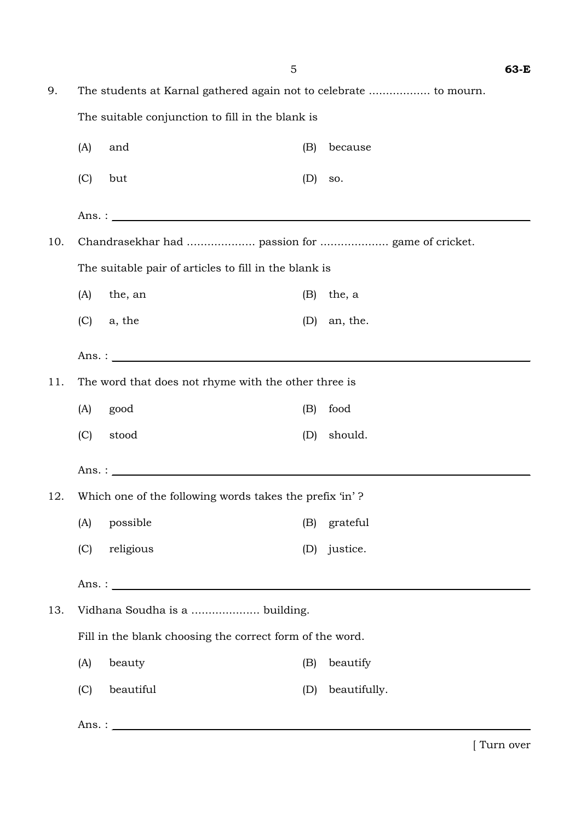|     |                                                  |                                                                   | 5   |              | 63-E |  |
|-----|--------------------------------------------------|-------------------------------------------------------------------|-----|--------------|------|--|
| 9.  |                                                  | The students at Karnal gathered again not to celebrate  to mourn. |     |              |      |  |
|     | The suitable conjunction to fill in the blank is |                                                                   |     |              |      |  |
|     | (A)                                              | and                                                               | (B) | because      |      |  |
|     | (C)                                              | but                                                               | (D) | SO.          |      |  |
|     |                                                  | Ans. : $\qquad \qquad$                                            |     |              |      |  |
| 10. |                                                  | Chandrasekhar had  passion for  game of cricket.                  |     |              |      |  |
|     |                                                  | The suitable pair of articles to fill in the blank is             |     |              |      |  |
|     | (A)                                              | the, an                                                           | (B) | the, a       |      |  |
|     | (C)                                              | a, the                                                            | (D) | an, the.     |      |  |
|     |                                                  | Ans.:                                                             |     |              |      |  |
| 11. |                                                  | The word that does not rhyme with the other three is              |     |              |      |  |
|     | (A)                                              | good                                                              | (B) | food         |      |  |
|     | (C)                                              | stood                                                             | (D) | should.      |      |  |
|     |                                                  | Ans. : $\qquad \qquad$                                            |     |              |      |  |
| 12. |                                                  | Which one of the following words takes the prefix 'in'?           |     |              |      |  |
|     | (A)                                              | possible                                                          | (B) | grateful     |      |  |
|     | (C)                                              | religious                                                         | (D) | justice.     |      |  |
|     |                                                  | Ans. :                                                            |     |              |      |  |
| 13. |                                                  | Vidhana Soudha is a  building.                                    |     |              |      |  |
|     |                                                  | Fill in the blank choosing the correct form of the word.          |     |              |      |  |
|     | (A)                                              | beauty                                                            | (B) | beautify     |      |  |
|     | (C)                                              | beautiful                                                         | (D) | beautifully. |      |  |
|     |                                                  |                                                                   |     |              |      |  |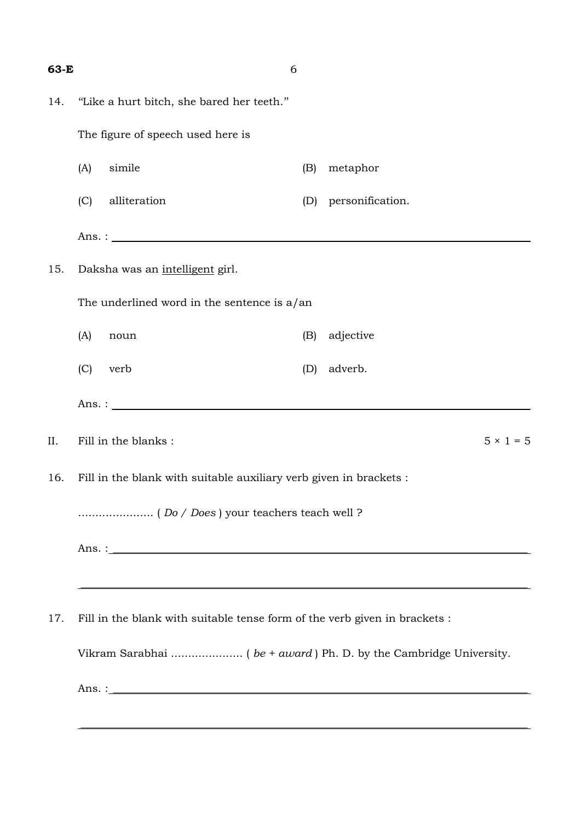| 63-E |     | 6                                                                          |     |                      |
|------|-----|----------------------------------------------------------------------------|-----|----------------------|
| 14.  |     | "Like a hurt bitch, she bared her teeth."                                  |     |                      |
|      |     | The figure of speech used here is                                          |     |                      |
|      | (A) | simile                                                                     | (B) | metaphor             |
|      | (C) | alliteration                                                               |     | (D) personification. |
|      |     | Ans. : $\qquad \qquad$                                                     |     |                      |
| 15.  |     | Daksha was an intelligent girl.                                            |     |                      |
|      |     | The underlined word in the sentence is $a/an$                              |     |                      |
|      | (A) | noun                                                                       | (B) | adjective            |
|      | (C) | verb                                                                       | (D) | adverb.              |
|      |     |                                                                            |     |                      |
| II.  |     | Fill in the blanks:                                                        |     | $5 \times 1 = 5$     |
| 16.  |     | Fill in the blank with suitable auxiliary verb given in brackets :         |     |                      |
|      |     |                                                                            |     |                      |
|      |     |                                                                            |     |                      |
|      |     |                                                                            |     |                      |
| 17.  |     | Fill in the blank with suitable tense form of the verb given in brackets : |     |                      |
|      |     |                                                                            |     |                      |
|      |     | Ans.: <u>Latin Communication</u>                                           |     |                      |
|      |     |                                                                            |     |                      |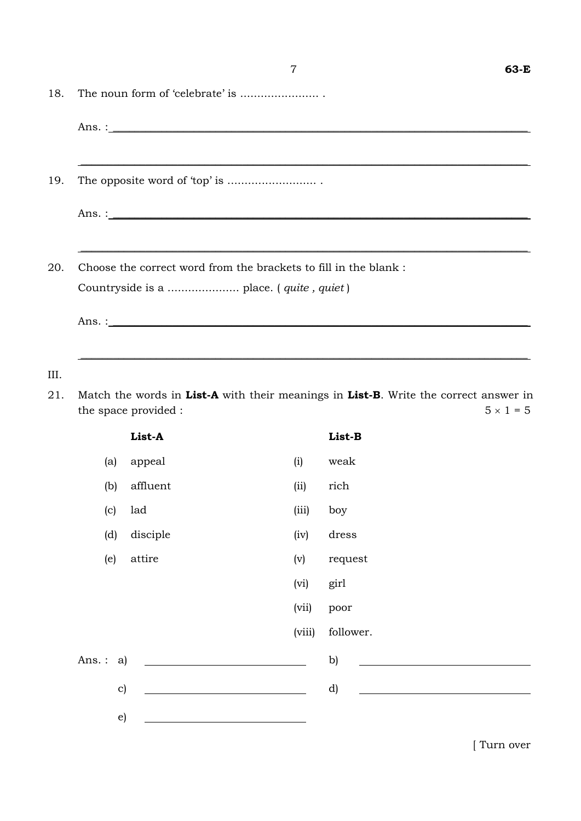| 19. |                                                                          |
|-----|--------------------------------------------------------------------------|
|     |                                                                          |
| ററ  | Choose the correct word from the breakets to $\frac{11}{2}$ in the blank |

7 **63-E** 

20. Choose the correct word from the brackets to fill in the blank : Countryside is a ..................... place. ( *quite , quiet* )

- III.
- 21. Match the words in **List-A** with their meanings in **List-B**. Write the correct answer in the space provided :  $5 \times 1 = 5$

\_\_\_\_\_\_\_\_\_\_\_\_\_\_\_\_\_\_\_\_\_\_\_\_\_\_\_\_\_\_\_\_\_\_\_\_\_\_\_\_\_\_\_\_\_\_\_\_\_\_\_\_\_\_\_\_\_\_\_\_\_\_\_\_\_\_\_\_\_\_\_\_\_\_\_\_\_\_\_\_\_\_\_

|            |               | List-A   |        | List-B    |
|------------|---------------|----------|--------|-----------|
|            | (a)           | appeal   | (i)    | weak      |
|            | (b)           | affluent | (ii)   | rich      |
|            | (c)           | lad      | (iii)  | boy       |
|            | (d)           | disciple | (iv)   | dress     |
|            | (e)           | attire   | (v)    | request   |
|            |               |          | (vi)   | girl      |
|            |               |          | (vii)  | poor      |
|            |               |          | (viii) | follower. |
| Ans.: $a)$ |               |          |        | b)        |
|            | $\mathbf{c})$ |          |        | d)        |
|            | e)            |          |        |           |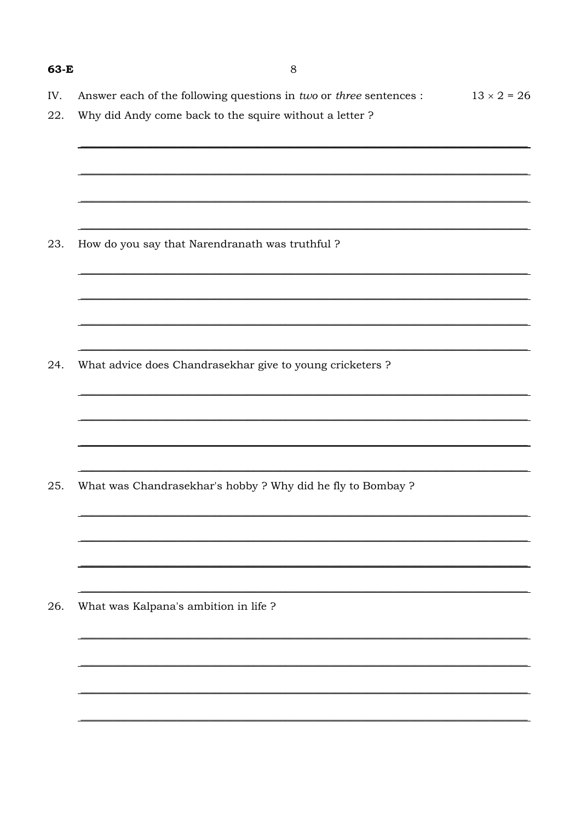- IV. Answer each of the following questions in two or three sentences :  $13 \times 2 = 26$
- Why did Andy come back to the squire without a letter ? 22.

23. How do you say that Narendranath was truthful?

24. What advice does Chandrasekhar give to young cricketers ?

What was Chandrasekhar's hobby? Why did he fly to Bombay? 25.

26. What was Kalpana's ambition in life ?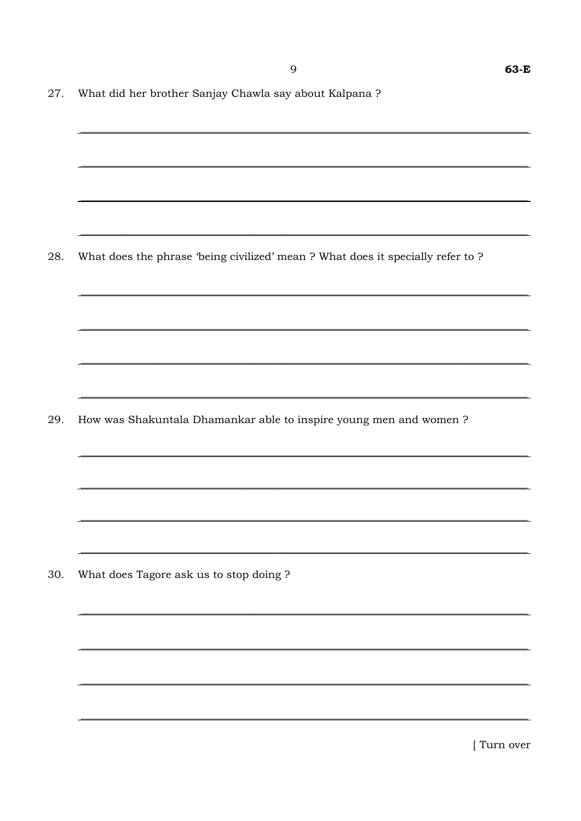- What did her brother Sanjay Chawla say about Kalpana ? 27.
- What does the phrase 'being civilized' mean ? What does it specially refer to ? 28. 29. How was Shakuntala Dhamankar able to inspire young men and women? What does Tagore ask us to stop doing? 30.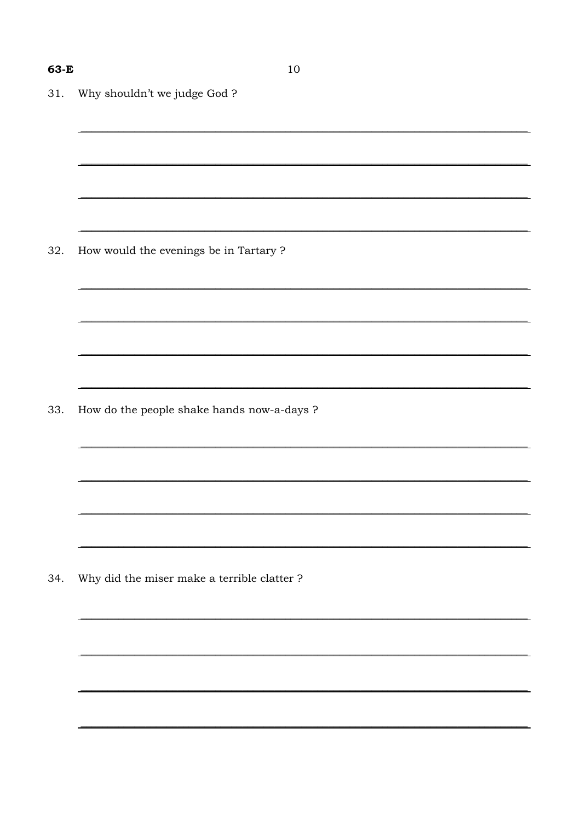Why shouldn't we judge God?  $31.$ 

How would the evenings be in Tartary? 32.

How do the people shake hands now-a-days ? 33.

Why did the miser make a terrible clatter ? 34.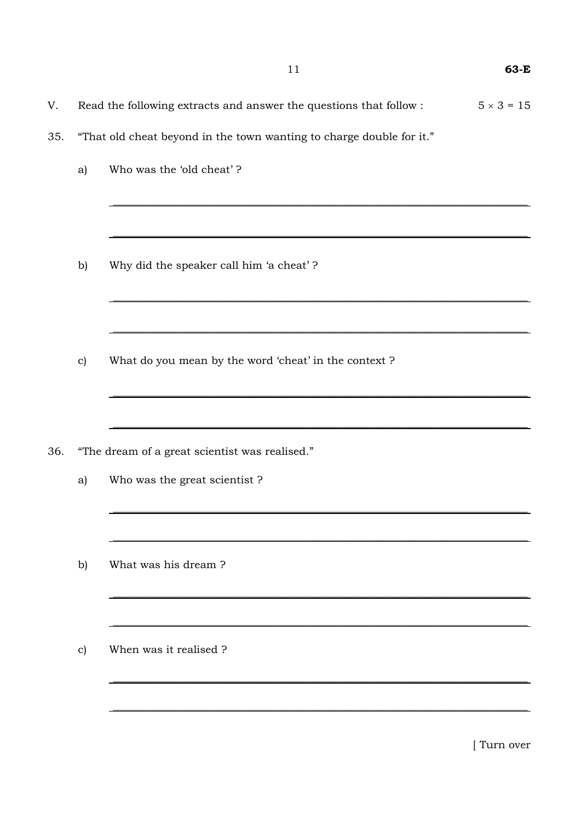- V. Read the following extracts and answer the questions that follow :  $5 \times 3 = 15$
- 35. "That old cheat beyond in the town wanting to charge double for it."
	- Who was the 'old cheat'? a)

Why did the speaker call him 'a cheat'? b)

- What do you mean by the word 'cheat' in the context ?  $\mathbf{c})$
- "The dream of a great scientist was realised." 36.
	- Who was the great scientist? a)
	- $b)$ What was his dream?
	- When was it realised ?  $\mathbf{c}$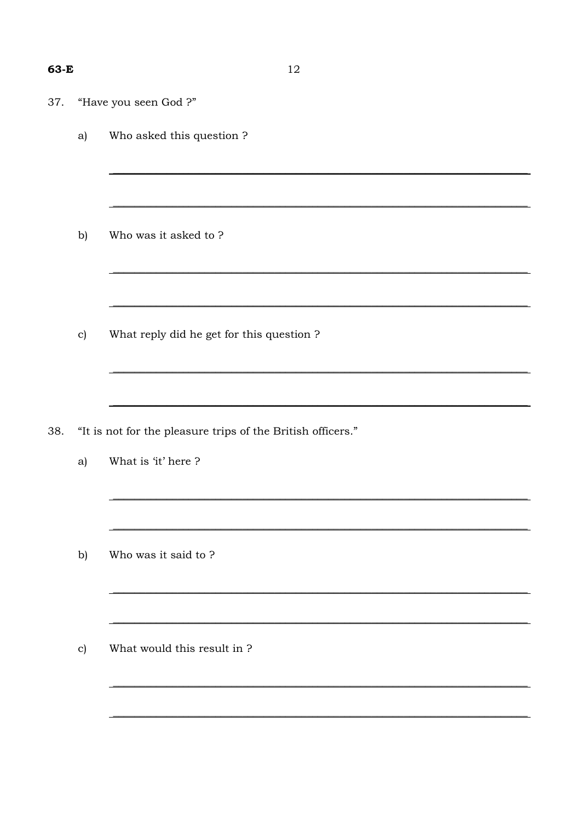- "Have you seen God ?" 37.
	- Who asked this question ? a)

Who was it asked to ? b)

- What reply did he get for this question ?  $\mathbf{c})$
- "It is not for the pleasure trips of the British officers." 38.
	- a) What is 'it' here?
	- Who was it said to?  $\mathbf{b}$
	- What would this result in ?  $\mathbf{c}$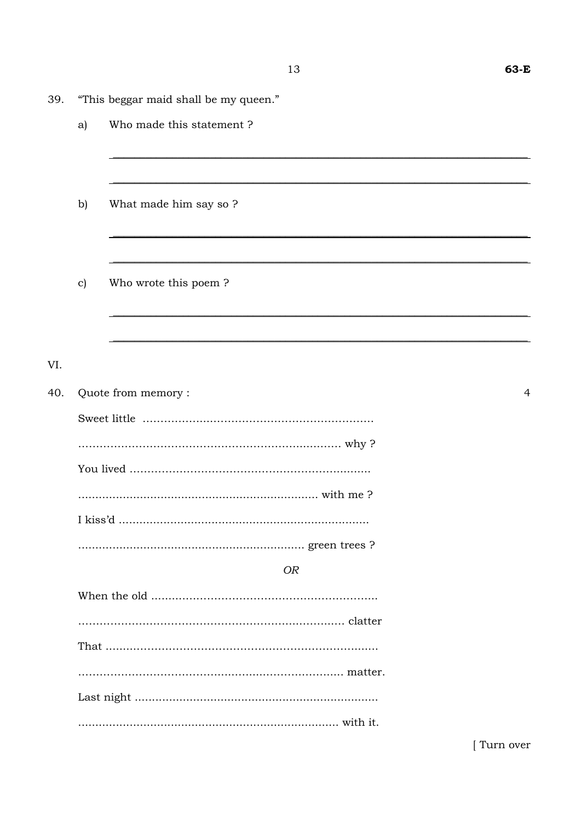| 39.        |               | "This beggar maid shall be my queen." |   |
|------------|---------------|---------------------------------------|---|
|            | a)            | Who made this statement?              |   |
|            |               |                                       |   |
|            | $\mathbf{b}$  | What made him say so ?                |   |
|            |               |                                       |   |
|            | $\mathbf{c})$ | Who wrote this poem?                  |   |
|            |               |                                       |   |
| VI.<br>40. |               | Quote from memory:                    | 4 |
|            |               |                                       |   |
|            |               |                                       |   |
|            |               |                                       |   |
|            |               |                                       |   |
|            |               | <b>OR</b>                             |   |
|            |               |                                       |   |
|            |               |                                       |   |
|            |               |                                       |   |
|            |               |                                       |   |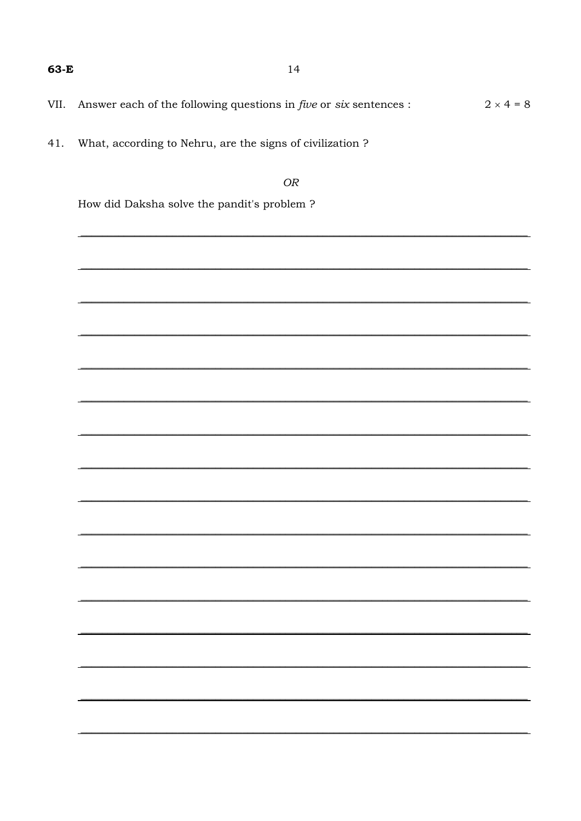VII. Answer each of the following questions in *five* or *six* sentences :  $2 \times 4 = 8$ 

**OR** 

What, according to Nehru, are the signs of civilization ? 41.

How did Daksha solve the pandit's problem ?

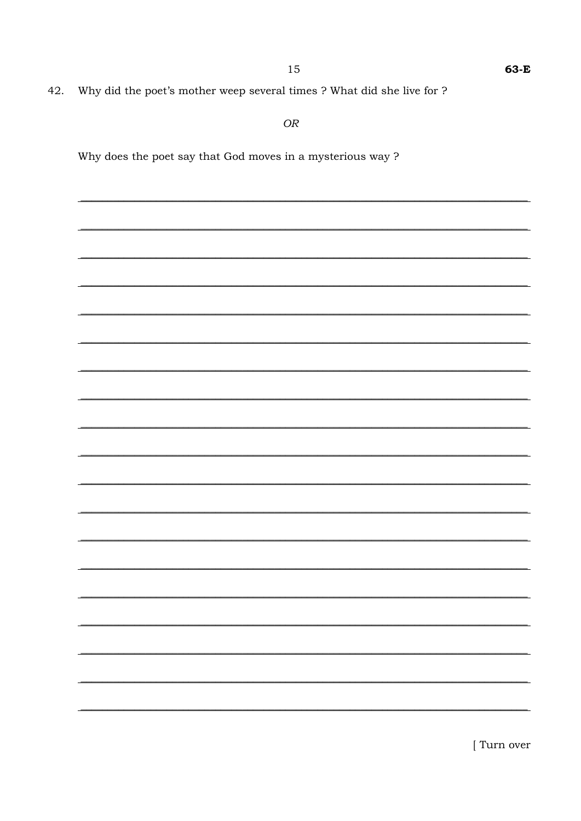**OR** 

Why does the poet say that God moves in a mysterious way?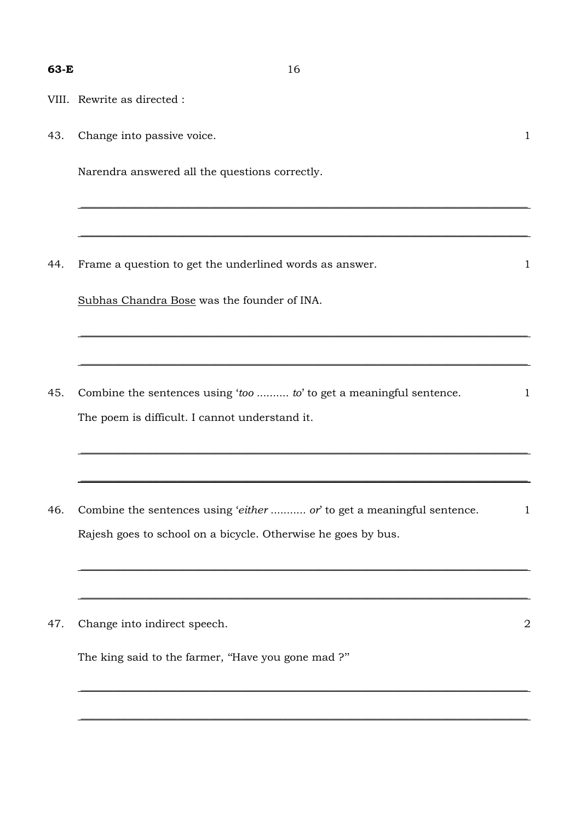\_\_\_\_\_\_\_\_\_\_\_\_\_\_\_\_\_\_\_\_\_\_\_\_\_\_\_\_\_\_\_\_\_\_\_\_\_\_\_\_\_\_\_\_\_\_\_\_\_\_\_\_\_\_\_\_\_\_\_\_\_\_\_\_\_\_\_\_\_\_\_\_\_\_\_\_\_\_\_\_\_\_\_

\_\_\_\_\_\_\_\_\_\_\_\_\_\_\_\_\_\_\_\_\_\_\_\_\_\_\_\_\_\_\_\_\_\_\_\_\_\_\_\_\_\_\_\_\_\_\_\_\_\_\_\_\_\_\_\_\_\_\_\_\_\_\_\_\_\_\_\_\_\_\_\_\_\_\_\_\_\_\_\_\_\_\_

\_\_\_\_\_\_\_\_\_\_\_\_\_\_\_\_\_\_\_\_\_\_\_\_\_\_\_\_\_\_\_\_\_\_\_\_\_\_\_\_\_\_\_\_\_\_\_\_\_\_\_\_\_\_\_\_\_\_\_\_\_\_\_\_\_\_\_\_\_\_\_\_\_\_\_\_\_\_\_\_\_\_\_

\_\_\_\_\_\_\_\_\_\_\_\_\_\_\_\_\_\_\_\_\_\_\_\_\_\_\_\_\_\_\_\_\_\_\_\_\_\_\_\_\_\_\_\_\_\_\_\_\_\_\_\_\_\_\_\_\_\_\_\_\_\_\_\_\_\_\_\_\_\_\_\_\_\_\_\_\_\_\_\_\_\_\_

\_\_\_\_\_\_\_\_\_\_\_\_\_\_\_\_\_\_\_\_\_\_\_\_\_\_\_\_\_\_\_\_\_\_\_\_\_\_\_\_\_\_\_\_\_\_\_\_\_\_\_\_\_\_\_\_\_\_\_\_\_\_\_\_\_\_\_\_\_\_\_\_\_\_\_\_\_\_\_\_\_\_\_

\_\_\_\_\_\_\_\_\_\_\_\_\_\_\_\_\_\_\_\_\_\_\_\_\_\_\_\_\_\_\_\_\_\_\_\_\_\_\_\_\_\_\_\_\_\_\_\_\_\_\_\_\_\_\_\_\_\_\_\_\_\_\_\_\_\_\_\_\_\_\_\_\_\_\_\_\_\_\_\_\_\_\_

\_\_\_\_\_\_\_\_\_\_\_\_\_\_\_\_\_\_\_\_\_\_\_\_\_\_\_\_\_\_\_\_\_\_\_\_\_\_\_\_\_\_\_\_\_\_\_\_\_\_\_\_\_\_\_\_\_\_\_\_\_\_\_\_\_\_\_\_\_\_\_\_\_\_\_\_\_\_\_\_\_\_\_

\_\_\_\_\_\_\_\_\_\_\_\_\_\_\_\_\_\_\_\_\_\_\_\_\_\_\_\_\_\_\_\_\_\_\_\_\_\_\_\_\_\_\_\_\_\_\_\_\_\_\_\_\_\_\_\_\_\_\_\_\_\_\_\_\_\_\_\_\_\_\_\_\_\_\_\_\_\_\_\_\_\_\_

\_\_\_\_\_\_\_\_\_\_\_\_\_\_\_\_\_\_\_\_\_\_\_\_\_\_\_\_\_\_\_\_\_\_\_\_\_\_\_\_\_\_\_\_\_\_\_\_\_\_\_\_\_\_\_\_\_\_\_\_\_\_\_\_\_\_\_\_\_\_\_\_\_\_\_\_\_\_\_\_\_\_\_

\_\_\_\_\_\_\_\_\_\_\_\_\_\_\_\_\_\_\_\_\_\_\_\_\_\_\_\_\_\_\_\_\_\_\_\_\_\_\_\_\_\_\_\_\_\_\_\_\_\_\_\_\_\_\_\_\_\_\_\_\_\_\_\_\_\_\_\_\_\_\_\_\_\_\_\_\_\_\_\_\_\_\_

- VIII. Rewrite as directed :
- 43. Change into passive voice. 1

Narendra answered all the questions correctly.

44. Frame a question to get the underlined words as answer. 1

Subhas Chandra Bose was the founder of INA.

- 45. Combine the sentences using '*too .......... to*' to get a meaningful sentence. 1 The poem is difficult. I cannot understand it.
- 46. Combine the sentences using 'either ........... or' to get a meaningful sentence. 1 Rajesh goes to school on a bicycle. Otherwise he goes by bus.
- 47. Change into indirect speech. 2

The king said to the farmer, "Have you gone mad ?"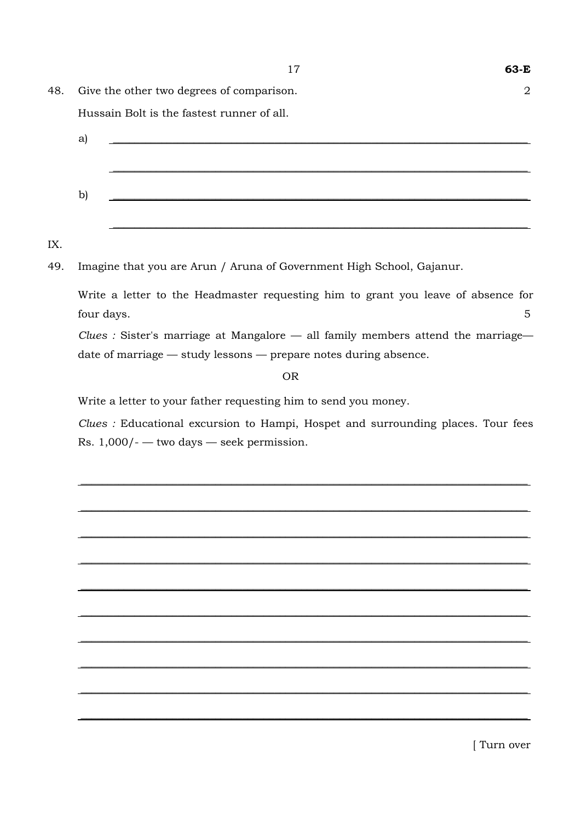$\overline{2}$ 

| 48. Give the other two degrees of comparison. |
|-----------------------------------------------|
| Hussain Bolt is the fastest runner of all.    |
| a)                                            |

b)

 $IX$ 

49. Imagine that you are Arun / Aruna of Government High School, Gajanur.

Write a letter to the Headmaster requesting him to grant you leave of absence for four days.  $\overline{5}$ 

*Clues*: Sister's marriage at Mangalore  $-$  all family members attend the marriagedate of marriage — study lessons — prepare notes during absence.

**OR** 

Write a letter to your father requesting him to send you money.

Clues : Educational excursion to Hampi, Hospet and surrounding places. Tour fees Rs.  $1,000/$ - — two days — seek permission.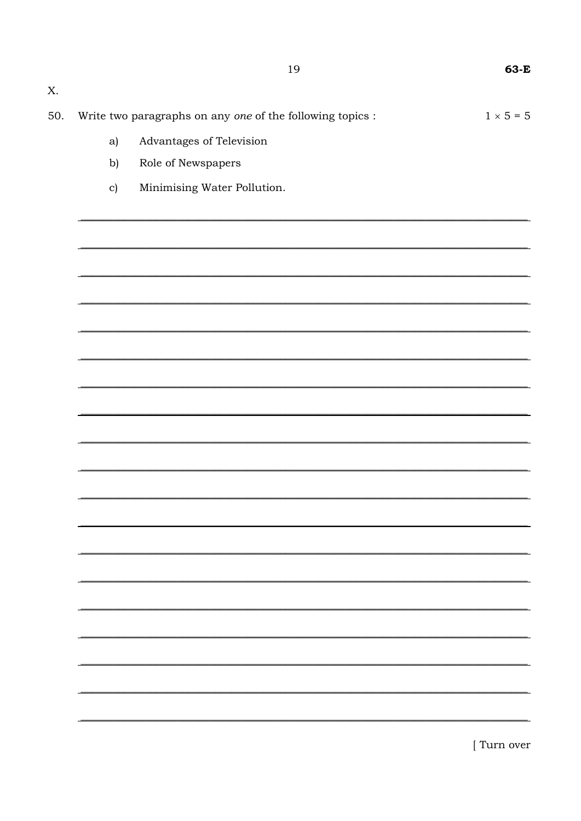X.

| 50. Write two paragraphs on any one of the following topics : | $1 \times 5 = 5$ |
|---------------------------------------------------------------|------------------|
|                                                               |                  |

- a) Advantages of Television
- b) Role of Newspapers
- Minimising Water Pollution.  $\mathbf{c})$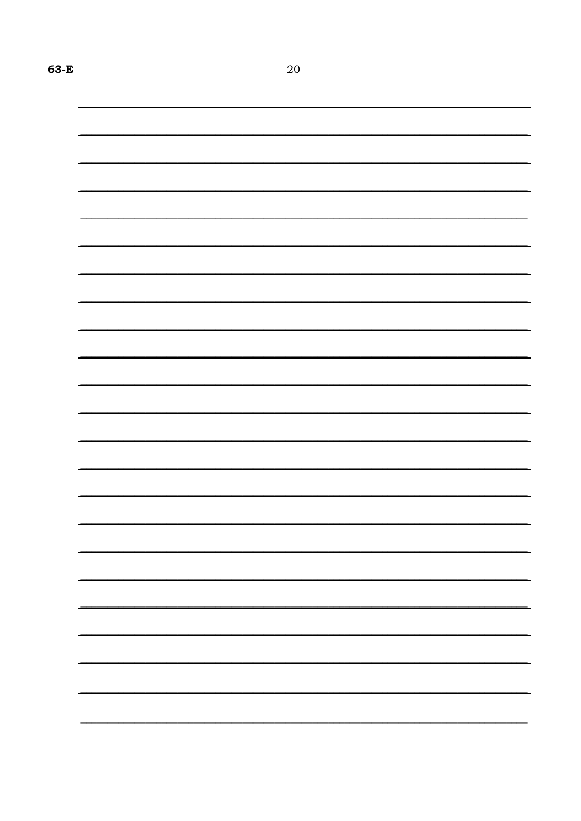|  |  | - |
|--|--|---|
|  |  |   |
|  |  |   |
|  |  |   |
|  |  |   |
|  |  |   |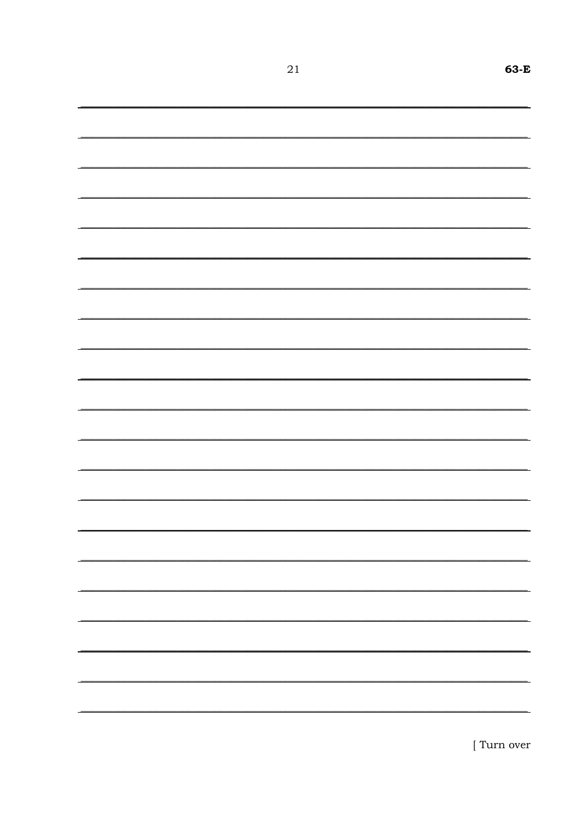| 21 |  | 63-E |
|----|--|------|
|    |  |      |
|    |  |      |
|    |  |      |
|    |  |      |
|    |  |      |
|    |  |      |
|    |  |      |
|    |  |      |
|    |  |      |
|    |  |      |
|    |  |      |
|    |  |      |
|    |  |      |
|    |  |      |
|    |  |      |
|    |  |      |
|    |  |      |
|    |  |      |
|    |  |      |
|    |  |      |
|    |  |      |
|    |  |      |
|    |  |      |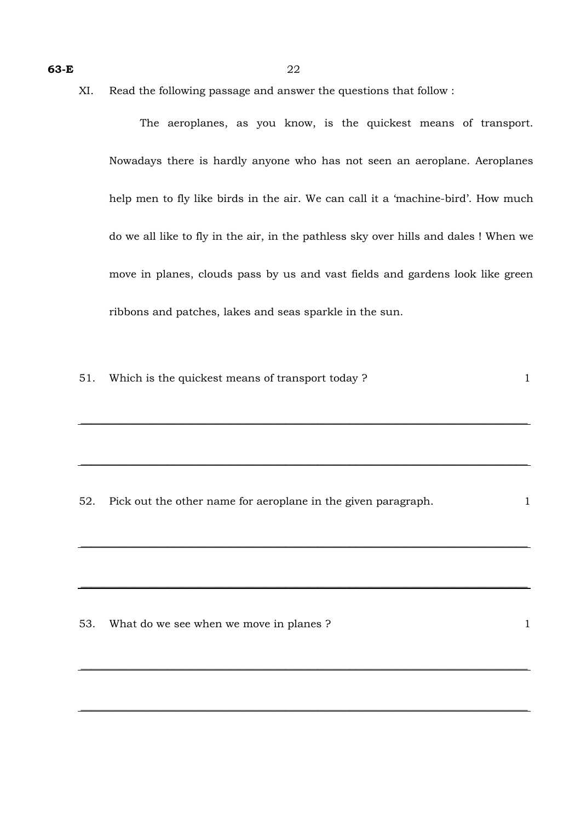XI. Read the following passage and answer the questions that follow :

The aeroplanes, as you know, is the quickest means of transport. Nowadays there is hardly anyone who has not seen an aeroplane. Aeroplanes help men to fly like birds in the air. We can call it a 'machine-bird'. How much do we all like to fly in the air, in the pathless sky over hills and dales ! When we move in planes, clouds pass by us and vast fields and gardens look like green ribbons and patches, lakes and seas sparkle in the sun.

51. Which is the quickest means of transport today ?

52. Pick out the other name for aeroplane in the given paragraph. 1

\_\_\_\_\_\_\_\_\_\_\_\_\_\_\_\_\_\_\_\_\_\_\_\_\_\_\_\_\_\_\_\_\_\_\_\_\_\_\_\_\_\_\_\_\_\_\_\_\_\_\_\_\_\_\_\_\_\_\_\_\_\_\_\_\_\_\_\_\_\_\_\_\_\_\_\_\_\_\_\_\_\_\_

\_\_\_\_\_\_\_\_\_\_\_\_\_\_\_\_\_\_\_\_\_\_\_\_\_\_\_\_\_\_\_\_\_\_\_\_\_\_\_\_\_\_\_\_\_\_\_\_\_\_\_\_\_\_\_\_\_\_\_\_\_\_\_\_\_\_\_\_\_\_\_\_\_\_\_\_\_\_\_\_\_\_\_

\_\_\_\_\_\_\_\_\_\_\_\_\_\_\_\_\_\_\_\_\_\_\_\_\_\_\_\_\_\_\_\_\_\_\_\_\_\_\_\_\_\_\_\_\_\_\_\_\_\_\_\_\_\_\_\_\_\_\_\_\_\_\_\_\_\_\_\_\_\_\_\_\_\_\_\_\_\_\_\_\_\_\_

\_\_\_\_\_\_\_\_\_\_\_\_\_\_\_\_\_\_\_\_\_\_\_\_\_\_\_\_\_\_\_\_\_\_\_\_\_\_\_\_\_\_\_\_\_\_\_\_\_\_\_\_\_\_\_\_\_\_\_\_\_\_\_\_\_\_\_\_\_\_\_\_\_\_\_\_\_\_\_\_\_\_\_

\_\_\_\_\_\_\_\_\_\_\_\_\_\_\_\_\_\_\_\_\_\_\_\_\_\_\_\_\_\_\_\_\_\_\_\_\_\_\_\_\_\_\_\_\_\_\_\_\_\_\_\_\_\_\_\_\_\_\_\_\_\_\_\_\_\_\_\_\_\_\_\_\_\_\_\_\_\_\_\_\_\_\_

\_\_\_\_\_\_\_\_\_\_\_\_\_\_\_\_\_\_\_\_\_\_\_\_\_\_\_\_\_\_\_\_\_\_\_\_\_\_\_\_\_\_\_\_\_\_\_\_\_\_\_\_\_\_\_\_\_\_\_\_\_\_\_\_\_\_\_\_\_\_\_\_\_\_\_\_\_\_\_\_\_\_\_

53. What do we see when we move in planes ? 1